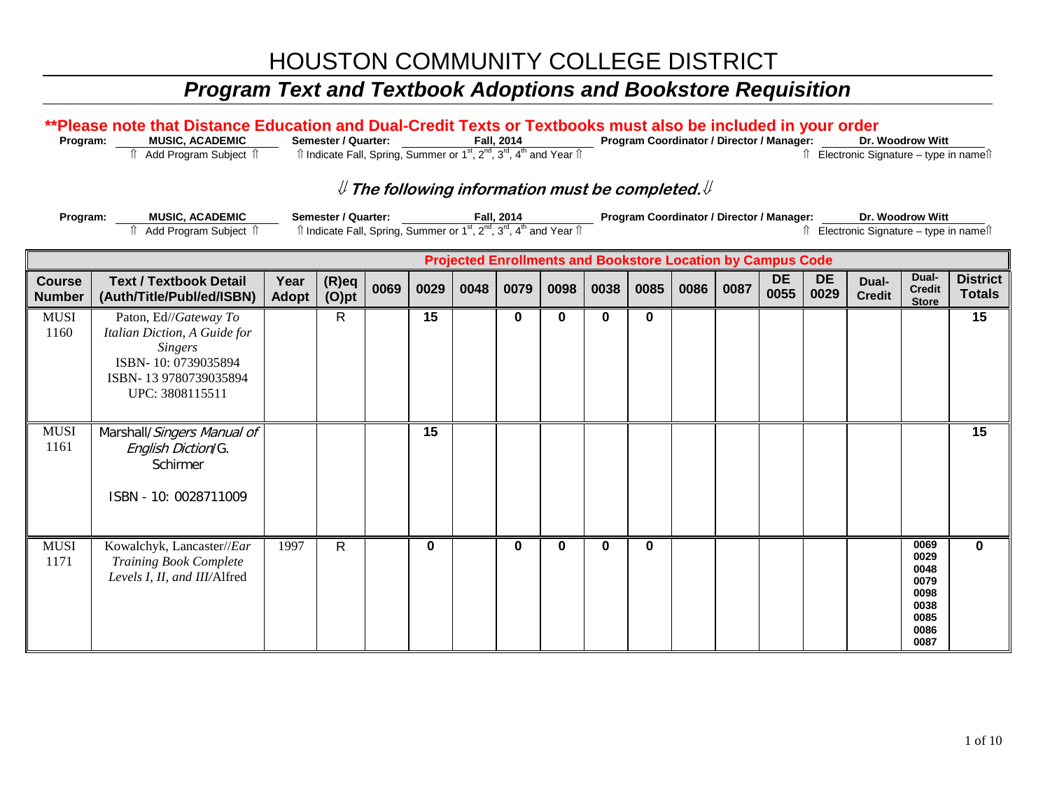| Program:                       | **Please note that Distance Education and Dual-Credit Texts or Textbooks must also be included in your order<br><b>MUSIC, ACADEMIC</b>     |               | Semester / Quarter:                                                                                                                   |      |          |                                                                          | Fall, 2014 |          |      |      |      |      | Program Coordinator / Director / Manager:                          |                   |                                          | Dr. Woodrow Witt                                                     |                                  |
|--------------------------------|--------------------------------------------------------------------------------------------------------------------------------------------|---------------|---------------------------------------------------------------------------------------------------------------------------------------|------|----------|--------------------------------------------------------------------------|------------|----------|------|------|------|------|--------------------------------------------------------------------|-------------------|------------------------------------------|----------------------------------------------------------------------|----------------------------------|
|                                | fì Add Program Subject fì                                                                                                                  |               | Îl Indicate Fall, Spring, Summer or 1 <sup>st</sup> , 2 <sup>nd</sup> , 3 <sup>rd</sup> , 4 <sup>th</sup> and Year Îl                 |      |          |                                                                          |            |          |      |      |      |      |                                                                    |                   | Îl Electronic Signature - type in nameîl |                                                                      |                                  |
| Program:                       | <b>MUSIC, ACADEMIC</b><br>Add Program Subject 1                                                                                            |               | <b>Semester / Quarter:</b><br>$\hat{p}$ Indicate Fall, Spring, Summer or $1^{st}$ , $2^{nd}$ , $3^{rd}$ , $4^{th}$ and Year $\hat{p}$ |      |          | ${\mathbb U}$ The following information must be completed. ${\mathbb U}$ | Fall, 2014 |          |      |      |      |      | Program Coordinator / Director / Manager:                          |                   | î Electronic Signature - type in nameî   | Dr. Woodrow Witt                                                     |                                  |
|                                |                                                                                                                                            |               |                                                                                                                                       |      |          |                                                                          |            |          |      |      |      |      | <b>Projected Enrollments and Bookstore Location by Campus Code</b> |                   |                                          |                                                                      |                                  |
| <b>Course</b><br><b>Number</b> | <b>Text / Textbook Detail</b><br>(Auth/Title/Publ/ed/ISBN)                                                                                 | Year<br>Adopt | $(R)$ eq<br>$(O)$ pt                                                                                                                  | 0069 | 0029     | 0048                                                                     | 0079       | 0098     | 0038 | 0085 | 0086 | 0087 | <b>DE</b><br>0055                                                  | <b>DE</b><br>0029 | Dual-<br><b>Credit</b>                   | Dual-<br><b>Credit</b><br><b>Store</b>                               | <b>District</b><br><b>Totals</b> |
| <b>MUSI</b><br>1160            | Paton, Ed//Gateway To<br>Italian Diction, A Guide for<br><b>Singers</b><br>ISBN-10: 0739035894<br>ISBN-13 9780739035894<br>UPC: 3808115511 |               | R                                                                                                                                     |      | 15       |                                                                          | 0          | $\bf{0}$ | 0    | 0    |      |      |                                                                    |                   |                                          |                                                                      | 15                               |
| <b>MUSI</b><br>1161            | Marshall/Singers Manual of<br>English Diction/G.<br>Schirmer<br>ISBN - 10: 0028711009                                                      |               |                                                                                                                                       |      | 15       |                                                                          |            |          |      |      |      |      |                                                                    |                   |                                          |                                                                      | 15                               |
| <b>MUSI</b><br>1171            | Kowalchyk, Lancaster//Ear<br><b>Training Book Complete</b><br>Levels I, II, and III/Alfred                                                 | 1997          | R                                                                                                                                     |      | $\bf{0}$ |                                                                          | $\bf{0}$   | $\bf{0}$ | 0    | 0    |      |      |                                                                    |                   |                                          | 0069<br>0029<br>0048<br>0079<br>0098<br>0038<br>0085<br>0086<br>0087 | $\bf{0}$                         |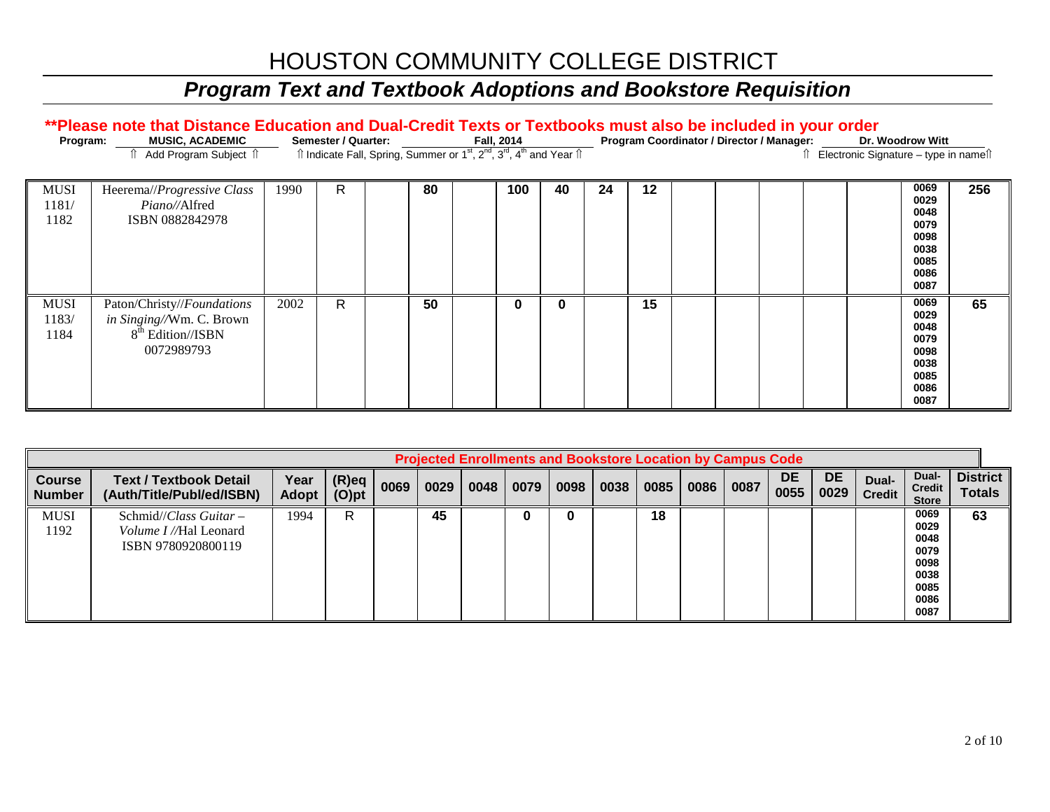## *Program Text and Textbook Adoptions and Bookstore Requisition*

#### \*\*Please note that Distance Education and Dual-Credit Texts or Textbooks must also be included in your order

| Program:                     | <b>MUSIC, ACADEMIC</b>                                                                                |      | Semester / Quarter: | îl Indicate Fall, Spring, Summer or 1 <sup>st</sup> , 2 <sup>nd</sup> , 3 <sup>rd</sup> , 4 <sup>th</sup> and Year îl | Fall, 2014 |          |    |    |  | Program Coordinator / Director / Manager: | Electronic Signature - type in names | Dr. Woodrow Witt                                                     |     |
|------------------------------|-------------------------------------------------------------------------------------------------------|------|---------------------|-----------------------------------------------------------------------------------------------------------------------|------------|----------|----|----|--|-------------------------------------------|--------------------------------------|----------------------------------------------------------------------|-----|
| <b>MUSI</b><br>1181/<br>1182 | Heerema//Progressive Class<br>Piano//Alfred<br>ISBN 0882842978                                        | 1990 | R                   | 80                                                                                                                    | 100        | 40       | 24 | 12 |  |                                           |                                      | 0069<br>0029<br>0048<br>0079<br>0098<br>0038<br>0085<br>0086<br>0087 | 256 |
| <b>MUSI</b><br>1183/<br>1184 | Paton/Christy//Foundations<br>in Singing//Wm. C. Brown<br>8 <sup>th</sup> Edition//ISBN<br>0072989793 | 2002 | R.                  | 50                                                                                                                    |            | $\bf{0}$ |    | 15 |  |                                           |                                      | 0069<br>0029<br>0048<br>0079<br>0098<br>0038<br>0085<br>0086<br>0087 | 65  |

|                                |                                                                                         |                      |                      |      |      |      |      |      | <b>Projected Enrollments and Bookstore Location by Campus Code</b> |      |      |      |                   |                   |                        |                                                                      |                                  |
|--------------------------------|-----------------------------------------------------------------------------------------|----------------------|----------------------|------|------|------|------|------|--------------------------------------------------------------------|------|------|------|-------------------|-------------------|------------------------|----------------------------------------------------------------------|----------------------------------|
| <b>Course</b><br><b>Number</b> | <b>Text / Textbook Detail</b><br>(Auth/Title/Publ/ed/ISBN)                              | Year<br><b>Adopt</b> | $(R)$ eq<br>$(O)$ pt | 0069 | 0029 | 0048 | 0079 | 0098 | 0038                                                               | 0085 | 0086 | 0087 | <b>DE</b><br>0055 | <b>DE</b><br>0029 | Dual-<br><b>Credit</b> | Dual-<br><b>Credit</b><br><b>Store</b>                               | <b>District</b><br><b>Totals</b> |
| <b>MUSI</b><br>1192            | Schmid// <i>Class Guitar</i> $-$<br><i>Volume I</i> //Hal Leonard<br>ISBN 9780920800119 | 1994                 | R                    |      | 45   |      | 0    |      |                                                                    | 18   |      |      |                   |                   |                        | 0069<br>0029<br>0048<br>0079<br>0098<br>0038<br>0085<br>0086<br>0087 | 63                               |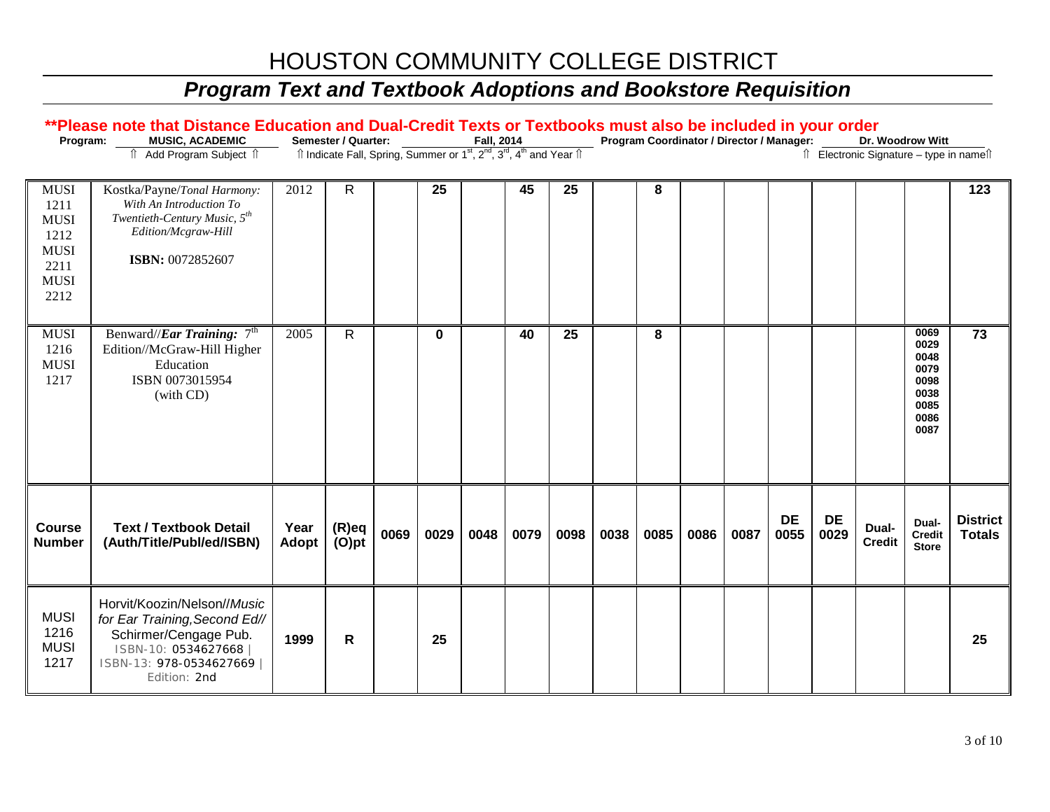| Program:                                                                                 | **Please note that Distance Education and Dual-Credit Texts or Textbooks must also be included in your order<br>MUSIC, ACADEMIC<br>⇑<br>Add Program Subject 1 |                      | Semester / Quarter:<br>Îl Indicate Fall, Spring, Summer or 1 <sup>st</sup> , 2 <sup>nd</sup> , 3 <sup>rd</sup> , 4 <sup>th</sup> and Year Îl |      |      | Fall, 2014 |      |      |      |      |      | Program Coordinator / Director / Manager: |                   |                   | Dr. Woodrow Witt<br>↑ Electronic Signature - type in name <sup>1</sup> |                                                                      |                                  |
|------------------------------------------------------------------------------------------|---------------------------------------------------------------------------------------------------------------------------------------------------------------|----------------------|----------------------------------------------------------------------------------------------------------------------------------------------|------|------|------------|------|------|------|------|------|-------------------------------------------|-------------------|-------------------|------------------------------------------------------------------------|----------------------------------------------------------------------|----------------------------------|
| <b>MUSI</b><br>1211<br><b>MUSI</b><br>1212<br><b>MUSI</b><br>2211<br><b>MUSI</b><br>2212 | Kostka/Payne/Tonal Harmony:<br>With An Introduction To<br>Twentieth-Century Music, 5 <sup>th</sup><br>Edition/Mcgraw-Hill<br>ISBN: 0072852607                 | 2012                 | R                                                                                                                                            |      | 25   |            | 45   | 25   |      | 8    |      |                                           |                   |                   |                                                                        |                                                                      | 123                              |
| <b>MUSI</b><br>1216<br><b>MUSI</b><br>1217                                               | Benward/ <i>/Ear Training</i> : 7 <sup>th</sup><br>Edition//McGraw-Hill Higher<br>Education<br>ISBN 0073015954<br>(with CD)                                   | 2005                 | $\mathsf{R}$                                                                                                                                 |      | 0    |            | 40   | 25   |      | 8    |      |                                           |                   |                   |                                                                        | 0069<br>0029<br>0048<br>0079<br>0098<br>0038<br>0085<br>0086<br>0087 | 73                               |
| Course<br><b>Number</b>                                                                  | <b>Text / Textbook Detail</b><br>(Auth/Title/Publ/ed/ISBN)                                                                                                    | Year<br><b>Adopt</b> | $(R)$ eq<br>$(O)$ pt                                                                                                                         | 0069 | 0029 | 0048       | 0079 | 0098 | 0038 | 0085 | 0086 | 0087                                      | <b>DE</b><br>0055 | <b>DE</b><br>0029 | Dual-<br><b>Credit</b>                                                 | Dual-<br><b>Credit</b><br><b>Store</b>                               | <b>District</b><br><b>Totals</b> |
| <b>MUSI</b><br>1216<br><b>MUSI</b><br>1217                                               | Horvit/Koozin/Nelson//Music<br>for Ear Training, Second Ed//<br>Schirmer/Cengage Pub.<br>ISBN-10: 0534627668<br>ISBN-13: 978-0534627669<br>Edition: 2nd       | 1999                 | R                                                                                                                                            |      | 25   |            |      |      |      |      |      |                                           |                   |                   |                                                                        |                                                                      | 25                               |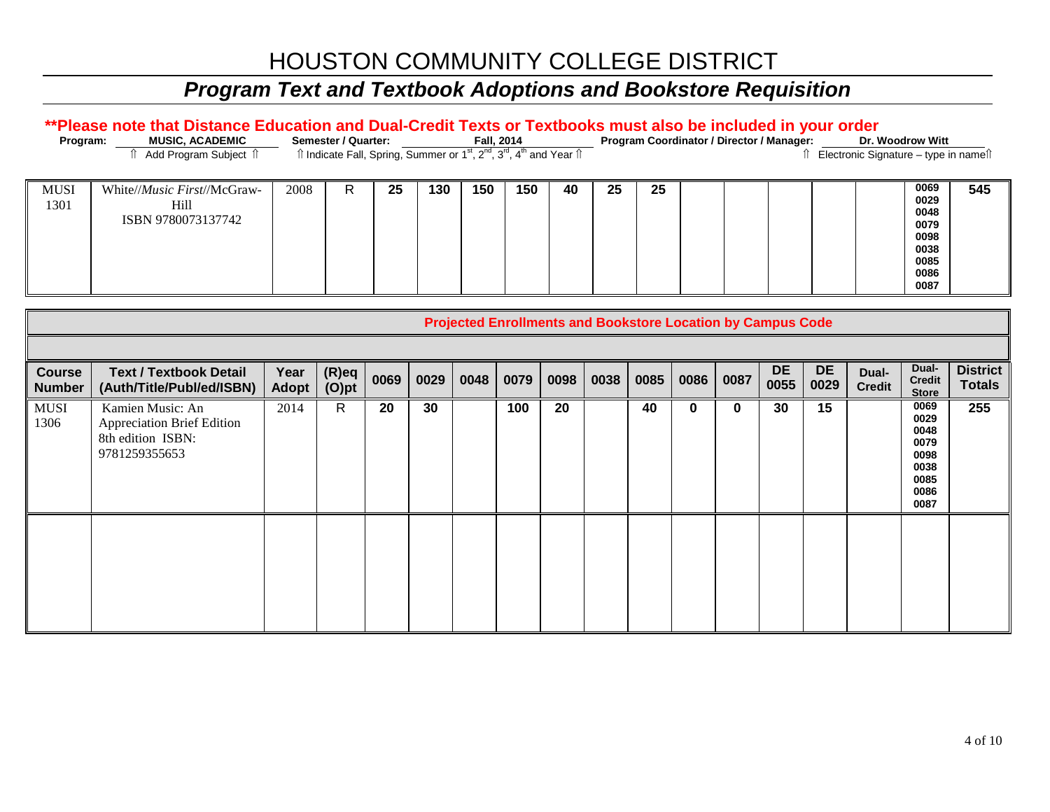#### *Program Text and Textbook Adoptions and Bookstore Requisition*

#### \*\*Please note that Distance Education and Dual-Credit Texts or Textbooks must also be included in your order

| Program:            | <b>MUSIC, ACADEMIC</b><br><b>↑ Add Program Subject ↑</b>           |      | Semester / Quarter:<br>îl Indicate Fall, Spring, Summer or 1 <sup>st</sup> , 2 <sup>nd</sup> , 3 <sup>rd</sup> , 4 <sup>th</sup> and Year îl |    |     | Fall, 2014 |     |    |    |    | Program Coordinator / Director / Manager: | Electronic Signature - type in names | Dr. Woodrow Witt                                                     |     |
|---------------------|--------------------------------------------------------------------|------|----------------------------------------------------------------------------------------------------------------------------------------------|----|-----|------------|-----|----|----|----|-------------------------------------------|--------------------------------------|----------------------------------------------------------------------|-----|
| <b>MUSI</b><br>1301 | White// <i>Music First</i> //McGraw-<br>Hill<br>ISBN 9780073137742 | 2008 | R                                                                                                                                            | 25 | 130 | 150        | 150 | 40 | 25 | 25 |                                           |                                      | 0069<br>0029<br>0048<br>0079<br>0098<br>0038<br>0085<br>0086<br>0087 | 545 |

|                                |                                                                                      |                      |                      |      |      |      |      | <b>Projected Enrollments and Bookstore Location by Campus Code</b> |      |      |             |          |                   |                   |                        |                                                                      |                                  |
|--------------------------------|--------------------------------------------------------------------------------------|----------------------|----------------------|------|------|------|------|--------------------------------------------------------------------|------|------|-------------|----------|-------------------|-------------------|------------------------|----------------------------------------------------------------------|----------------------------------|
|                                |                                                                                      |                      |                      |      |      |      |      |                                                                    |      |      |             |          |                   |                   |                        |                                                                      |                                  |
| <b>Course</b><br><b>Number</b> | <b>Text / Textbook Detail</b><br>(Auth/Title/Publ/ed/ISBN)                           | Year<br><b>Adopt</b> | $(R)$ eq<br>$(O)$ pt | 0069 | 0029 | 0048 | 0079 | 0098                                                               | 0038 | 0085 | 0086        | 0087     | <b>DE</b><br>0055 | <b>DE</b><br>0029 | Dual-<br><b>Credit</b> | Dual-<br><b>Credit</b><br><b>Store</b>                               | <b>District</b><br><b>Totals</b> |
| <b>MUSI</b><br>1306            | Kamien Music: An<br>Appreciation Brief Edition<br>8th edition ISBN:<br>9781259355653 | 2014                 | $\mathsf{R}$         | 20   | 30   |      | 100  | 20                                                                 |      | 40   | $\mathbf 0$ | $\bf{0}$ | 30                | 15                |                        | 0069<br>0029<br>0048<br>0079<br>0098<br>0038<br>0085<br>0086<br>0087 | 255                              |
|                                |                                                                                      |                      |                      |      |      |      |      |                                                                    |      |      |             |          |                   |                   |                        |                                                                      |                                  |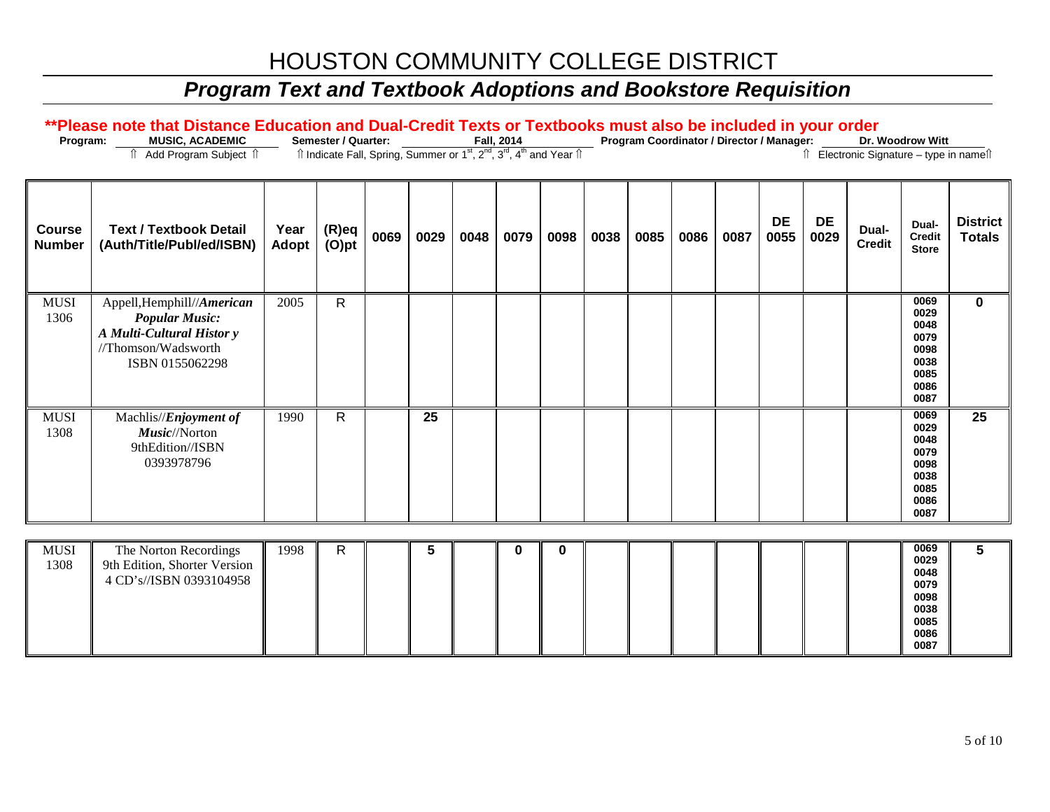# *Program Text and Textbook Adoptions and Bookstore Requisition*

| Program:                       | **Please note that Distance Education and Dual-Credit Texts or Textbooks must also be included in your order<br><b>MUSIC, ACADEMIC</b><br>Add Program Subject 1 |               | Semester / Quarter:<br>ft Indicate Fall, Spring, Summer or 1 <sup>st</sup> , 2 <sup>nd</sup> , 3 <sup>rd</sup> , 4 <sup>th</sup> and Year ft |      |      |      | Fall, 2014 |          |      |      |      |      | Program Coordinator / Director / Manager: |                   | î Electronic Signature - type in nameî | Dr. Woodrow Witt                                                     |                                  |
|--------------------------------|-----------------------------------------------------------------------------------------------------------------------------------------------------------------|---------------|----------------------------------------------------------------------------------------------------------------------------------------------|------|------|------|------------|----------|------|------|------|------|-------------------------------------------|-------------------|----------------------------------------|----------------------------------------------------------------------|----------------------------------|
| <b>Course</b><br><b>Number</b> | <b>Text / Textbook Detail</b><br>(Auth/Title/Publ/ed/ISBN)                                                                                                      | Year<br>Adopt | $(R)$ eq<br>$(O)$ pt                                                                                                                         | 0069 | 0029 | 0048 | 0079       | 0098     | 0038 | 0085 | 0086 | 0087 | <b>DE</b><br>0055                         | <b>DE</b><br>0029 | Dual-<br><b>Credit</b>                 | Dual-<br><b>Credit</b><br><b>Store</b>                               | <b>District</b><br><b>Totals</b> |
| <b>MUSI</b><br>1306            | Appell, Hemphill//American<br><b>Popular Music:</b><br>A Multi-Cultural Histor y<br>//Thomson/Wadsworth<br>ISBN 0155062298                                      | 2005          | $\mathsf{R}$                                                                                                                                 |      |      |      |            |          |      |      |      |      |                                           |                   |                                        | 0069<br>0029<br>0048<br>0079<br>0098<br>0038<br>0085<br>0086<br>0087 | $\mathbf 0$                      |
| <b>MUSI</b><br>1308            | Machlis// <i>Enjoyment of</i><br>Music//Norton<br>9thEdition//ISBN<br>0393978796                                                                                | 1990          | $\mathsf{R}$                                                                                                                                 |      | 25   |      |            |          |      |      |      |      |                                           |                   |                                        | 0069<br>0029<br>0048<br>0079<br>0098<br>0038<br>0085<br>0086<br>0087 | 25                               |
| <b>MUSI</b><br>1308            | The Norton Recordings<br>9th Edition, Shorter Version<br>4 CD's//ISBN 0393104958                                                                                | 1998          | $\mathsf{R}$                                                                                                                                 |      | 5    |      | 0          | $\bf{0}$ |      |      |      |      |                                           |                   |                                        | 0069<br>0029<br>0048<br>0079<br>0098<br>0038                         | 5                                |

**0085 0086 0087**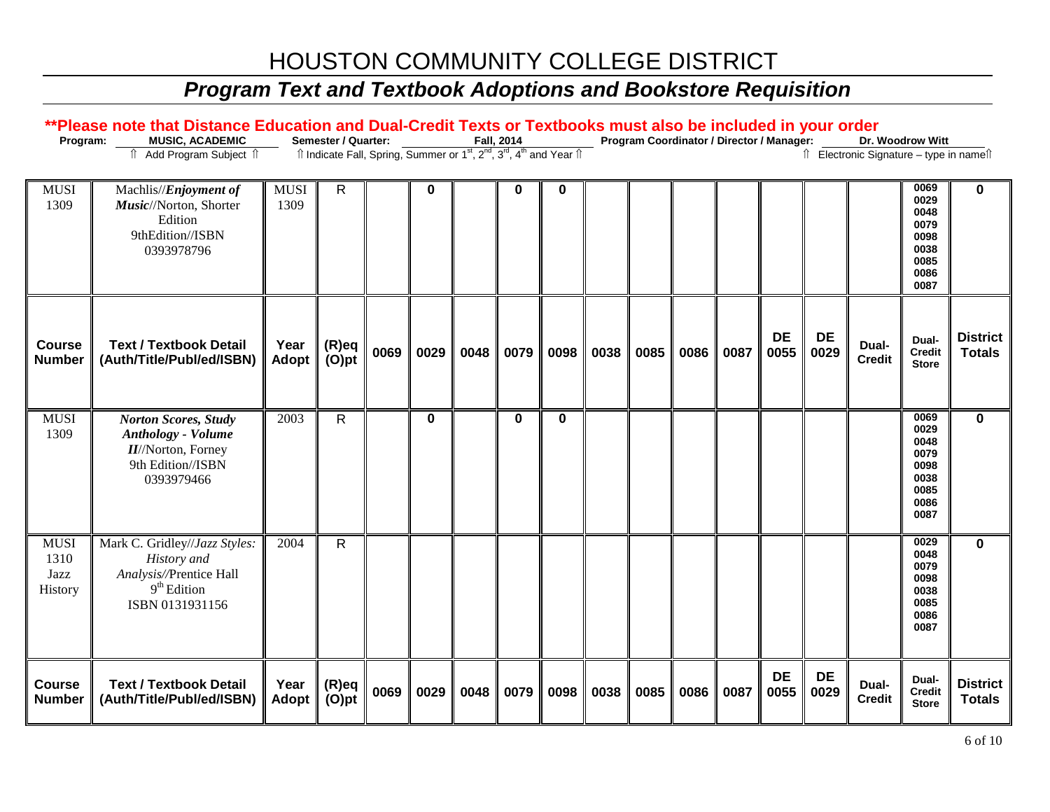| Program:                               | **Please note that Distance Education and Dual-Credit Texts or Textbooks must also be included in your order<br>MUSIC, ACADEMIC<br>↑ Add Program Subject ↑ |                     | Semester / Quarter:<br>Îl Indicate Fall, Spring, Summer or 1 <sup>st</sup> , 2 <sup>nd</sup> , 3 <sup>rd</sup> , 4 <sup>th</sup> and Year Îl |      |             |      | Fall, 2014 |             |      |      | Program Coordinator / Director / Manager: |      |                   |                   | ↑ Electronic Signature - type in name <sup>1</sup> | Dr. Woodrow Witt                                                     |                                  |
|----------------------------------------|------------------------------------------------------------------------------------------------------------------------------------------------------------|---------------------|----------------------------------------------------------------------------------------------------------------------------------------------|------|-------------|------|------------|-------------|------|------|-------------------------------------------|------|-------------------|-------------------|----------------------------------------------------|----------------------------------------------------------------------|----------------------------------|
| <b>MUSI</b><br>1309                    | Machlis// <i>Enjoyment of</i><br>Music//Norton, Shorter<br>Edition<br>9thEdition//ISBN<br>0393978796                                                       | <b>MUSI</b><br>1309 | ${\sf R}$                                                                                                                                    |      | $\mathbf 0$ |      | 0          | $\mathbf 0$ |      |      |                                           |      |                   |                   |                                                    | 0069<br>0029<br>0048<br>0079<br>0098<br>0038<br>0085<br>0086<br>0087 | 0                                |
| Course<br><b>Number</b>                | <b>Text / Textbook Detail</b><br>(Auth/Title/Publ/ed/ISBN)                                                                                                 | Year<br>Adopt       | $(R)$ eq<br>$(O)$ pt                                                                                                                         | 0069 | 0029        | 0048 | 0079       | 0098        | 0038 | 0085 | 0086                                      | 0087 | <b>DE</b><br>0055 | <b>DE</b><br>0029 | Dual-<br><b>Credit</b>                             | Dual-<br><b>Credit</b><br><b>Store</b>                               | <b>District</b><br><b>Totals</b> |
| <b>MUSI</b><br>1309                    | <b>Norton Scores, Study</b><br><b>Anthology - Volume</b><br><b>II</b> /Norton, Forney<br>9th Edition//ISBN<br>0393979466                                   | 2003                | $\mathsf{R}$                                                                                                                                 |      | $\mathbf 0$ |      | $\bf{0}$   | $\mathbf 0$ |      |      |                                           |      |                   |                   |                                                    | 0069<br>0029<br>0048<br>0079<br>0098<br>0038<br>0085<br>0086<br>0087 | $\bf{0}$                         |
| <b>MUSI</b><br>1310<br>Jazz<br>History | Mark C. Gridley//Jazz Styles:<br>History and<br>Analysis//Prentice Hall<br>$9th$ Edition<br>ISBN 0131931156                                                | 2004                | $\mathsf{R}$                                                                                                                                 |      |             |      |            |             |      |      |                                           |      |                   |                   |                                                    | 0029<br>0048<br>0079<br>0098<br>0038<br>0085<br>0086<br>0087         | $\bf{0}$                         |
| <b>Course</b><br><b>Number</b>         | <b>Text / Textbook Detail</b><br>(Auth/Title/Publ/ed/ISBN)                                                                                                 | Year<br>Adopt       | $(R)$ eq<br>$(O)$ pt                                                                                                                         | 0069 | 0029        | 0048 | 0079       | 0098        | 0038 | 0085 | 0086                                      | 0087 | <b>DE</b><br>0055 | <b>DE</b><br>0029 | Dual-<br><b>Credit</b>                             | Dual-<br><b>Credit</b><br><b>Store</b>                               | <b>District</b><br><b>Totals</b> |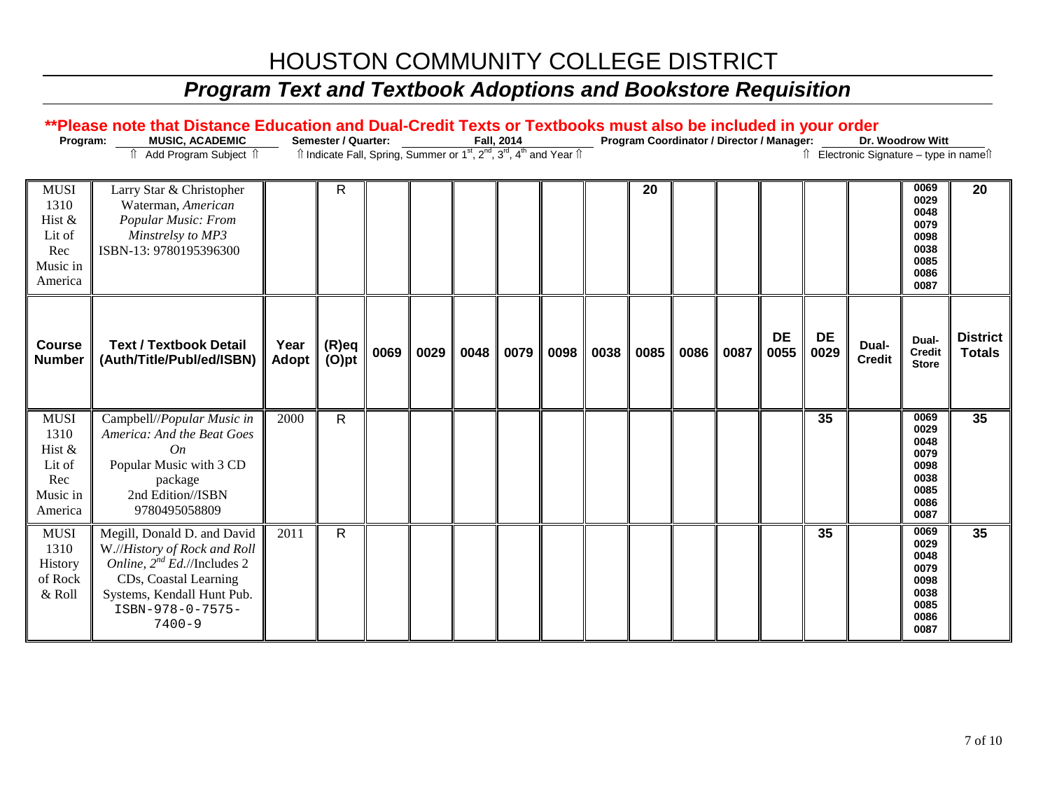| Program:                                                              | **Please note that Distance Education and Dual-Credit Texts or Textbooks must also be included in your order<br><b>MUSIC, ACADEMIC</b><br>Add Program Subject 1                          |               | <b>Semester / Quarter:</b><br>Îl Indicate Fall, Spring, Summer or 1 <sup>st</sup> , 2 <sup>nd</sup> , 3 <sup>rd</sup> , 4 <sup>th</sup> and Year Îl |      |      |      | Fall, 2014 |      |      |      |      | Program Coordinator / Director / Manager: |                   |                   | Îl Electronic Signature - type in nameîl | Dr. Woodrow Witt                                                     |                                  |
|-----------------------------------------------------------------------|------------------------------------------------------------------------------------------------------------------------------------------------------------------------------------------|---------------|-----------------------------------------------------------------------------------------------------------------------------------------------------|------|------|------|------------|------|------|------|------|-------------------------------------------|-------------------|-------------------|------------------------------------------|----------------------------------------------------------------------|----------------------------------|
| <b>MUSI</b><br>1310<br>Hist &<br>Lit of<br>Rec<br>Music in<br>America | Larry Star & Christopher<br>Waterman, American<br>Popular Music: From<br>Minstrelsy to MP3<br>ISBN-13: 9780195396300                                                                     |               | R                                                                                                                                                   |      |      |      |            |      |      | 20   |      |                                           |                   |                   |                                          | 0069<br>0029<br>0048<br>0079<br>0098<br>0038<br>0085<br>0086<br>0087 | 20                               |
| <b>Course</b><br><b>Number</b>                                        | <b>Text / Textbook Detail</b><br>(Auth/Title/Publ/ed/ISBN)                                                                                                                               | Year<br>Adopt | (R)eq<br>$(O)$ pt                                                                                                                                   | 0069 | 0029 | 0048 | 0079       | 0098 | 0038 | 0085 | 0086 | 0087                                      | <b>DE</b><br>0055 | <b>DE</b><br>0029 | Dual-<br><b>Credit</b>                   | Dual-<br><b>Credit</b><br><b>Store</b>                               | <b>District</b><br><b>Totals</b> |
| <b>MUSI</b><br>1310<br>Hist &<br>Lit of<br>Rec<br>Music in<br>America | Campbell//Popular Music in<br>America: And the Beat Goes<br>On<br>Popular Music with 3 CD<br>package<br>2nd Edition//ISBN<br>9780495058809                                               | 2000          | $\mathsf{R}$                                                                                                                                        |      |      |      |            |      |      |      |      |                                           |                   | 35                |                                          | 0069<br>0029<br>0048<br>0079<br>0098<br>0038<br>0085<br>0086<br>0087 | 35                               |
| ${\rm MUSI}$<br>1310<br>History<br>of Rock<br>& Roll                  | Megill, Donald D. and David<br>W.//History of Rock and Roll<br>Online, $2^{nd}$ Ed.//Includes 2<br>CDs, Coastal Learning<br>Systems, Kendall Hunt Pub.<br>ISBN-978-0-7575-<br>$7400 - 9$ | 2011          | $\overline{R}$                                                                                                                                      |      |      |      |            |      |      |      |      |                                           |                   | 35                |                                          | 0069<br>0029<br>0048<br>0079<br>0098<br>0038<br>0085<br>0086<br>0087 | 35                               |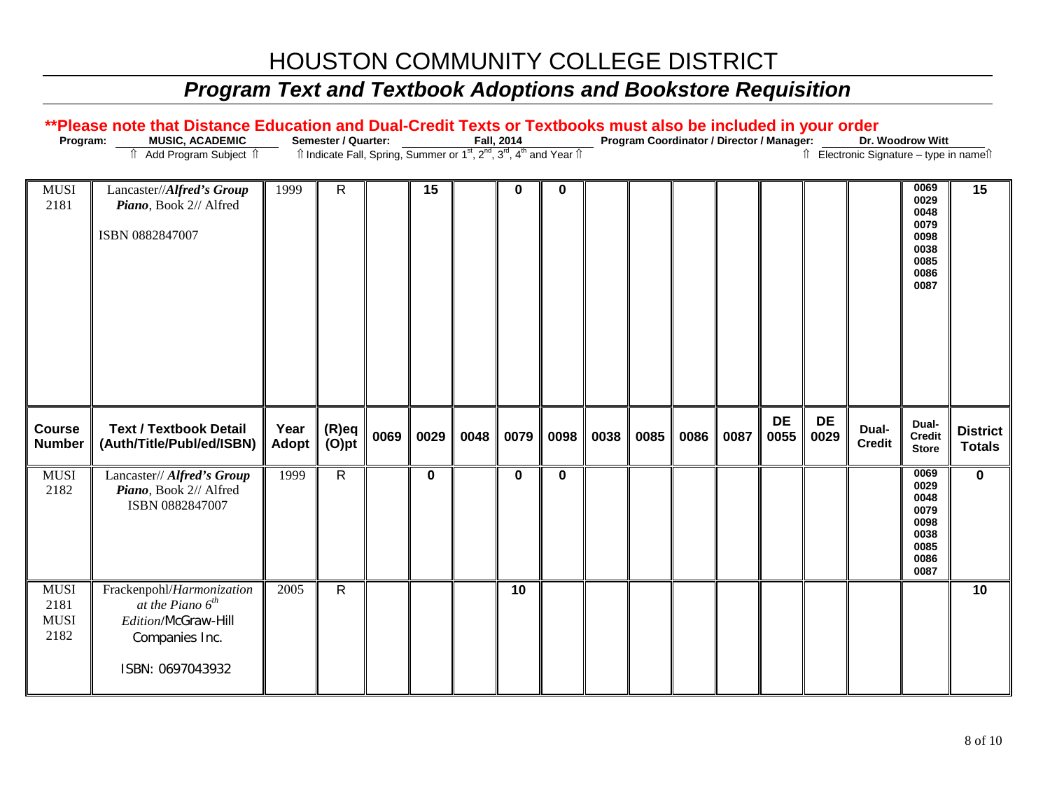| Program:                                   | **Please note that Distance Education and Dual-Credit Texts or Textbooks must also be included in your order<br>MUSIC, ACADEMIC |               | Semester / Quarter:                                                                                                   |      |             |      | Fall, 2014  |             |      |      | Program Coordinator / Director / Manager: |      |                   |                   |                                                    | Dr. Woodrow Witt                                                     |                                  |
|--------------------------------------------|---------------------------------------------------------------------------------------------------------------------------------|---------------|-----------------------------------------------------------------------------------------------------------------------|------|-------------|------|-------------|-------------|------|------|-------------------------------------------|------|-------------------|-------------------|----------------------------------------------------|----------------------------------------------------------------------|----------------------------------|
|                                            | ↑ Add Program Subject ↑                                                                                                         |               | Îl Indicate Fall, Spring, Summer or 1 <sup>st</sup> , 2 <sup>nd</sup> , 3 <sup>rd</sup> , 4 <sup>th</sup> and Year Îl |      |             |      |             |             |      |      |                                           |      |                   |                   | ↑ Electronic Signature - type in name <sup>1</sup> |                                                                      |                                  |
| <b>MUSI</b><br>2181                        | Lancaster//Alfred's Group<br>Piano, Book 2// Alfred<br>ISBN 0882847007                                                          | 1999          | $\mathsf{R}$                                                                                                          |      | 15          |      | 0           | $\mathbf 0$ |      |      |                                           |      |                   |                   |                                                    | 0069<br>0029<br>0048<br>0079<br>0098<br>0038<br>0085<br>0086<br>0087 | 15                               |
| <b>Course</b><br><b>Number</b>             | <b>Text / Textbook Detail</b><br>(Auth/Title/Publ/ed/ISBN)                                                                      | Year<br>Adopt | $(R)$ eq<br>$(O)$ pt                                                                                                  | 0069 | 0029        | 0048 | 0079        | 0098        | 0038 | 0085 | 0086                                      | 0087 | <b>DE</b><br>0055 | <b>DE</b><br>0029 | Dual-<br><b>Credit</b>                             | Dual-<br><b>Credit</b><br><b>Store</b>                               | <b>District</b><br><b>Totals</b> |
| <b>MUSI</b><br>2182                        | Lancaster// Alfred's Group<br>Piano, Book 2// Alfred<br>ISBN 0882847007                                                         | 1999          | $\overline{R}$                                                                                                        |      | $\mathbf 0$ |      | $\mathbf 0$ | $\mathbf 0$ |      |      |                                           |      |                   |                   |                                                    | 0069<br>0029<br>0048<br>0079<br>0098<br>0038<br>0085<br>0086<br>0087 | $\mathbf 0$                      |
| <b>MUSI</b><br>2181<br><b>MUSI</b><br>2182 | Frackenpohl/Harmonization<br>at the Piano $6^{th}$<br>Edition/McGraw-Hill<br>Companies Inc.<br>ISBN: 0697043932                 | 2005          | $\mathsf{R}$                                                                                                          |      |             |      | 10          |             |      |      |                                           |      |                   |                   |                                                    |                                                                      | 10                               |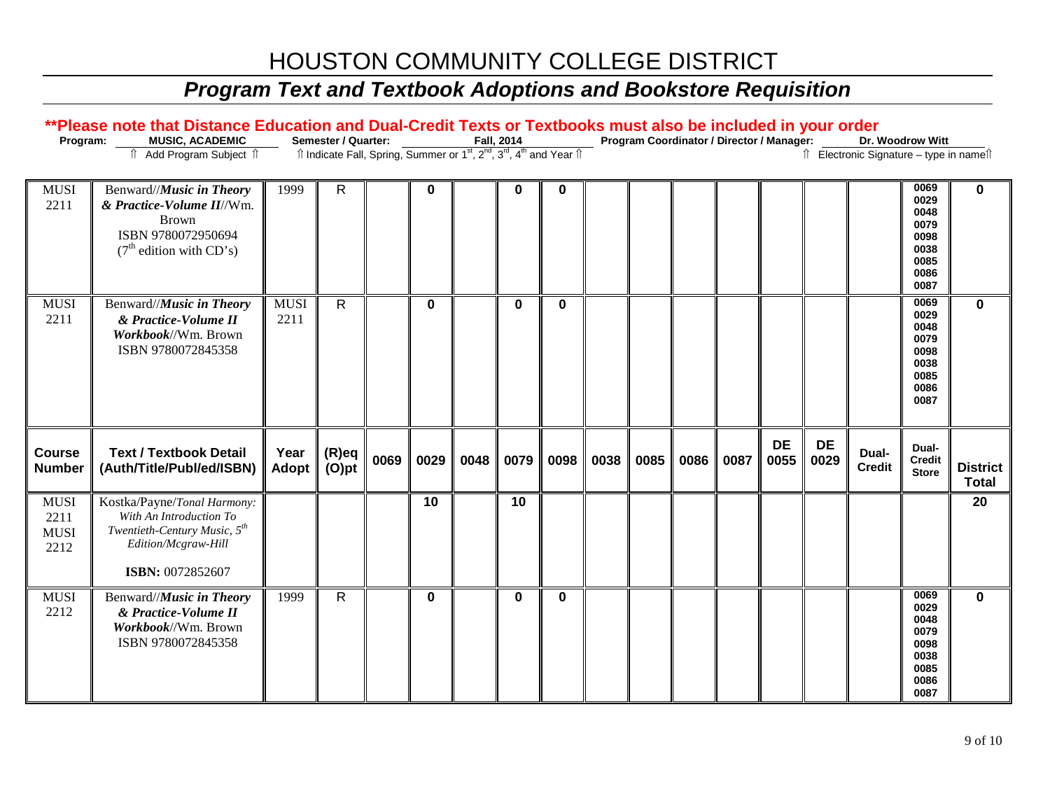| Program:                                   | **Please note that Distance Education and Dual-Credit Texts or Textbooks must also be included in your order<br>MUSIC, ACADEMIC<br>Add Program Subject 1<br>⇑ |                     | Semester / Quarter:<br>Îl Indicate Fall, Spring, Summer or 1 <sup>st</sup> , 2 <sup>nd</sup> , 3 <sup>rd</sup> , 4 <sup>th</sup> and Year Îl |      |             |      | Fall, 2014 |             |      | Program Coordinator / Director / Manager: |      |      |                   |                   | î Electronic Signature - type in nameî | Dr. Woodrow Witt                                                     |                                 |
|--------------------------------------------|---------------------------------------------------------------------------------------------------------------------------------------------------------------|---------------------|----------------------------------------------------------------------------------------------------------------------------------------------|------|-------------|------|------------|-------------|------|-------------------------------------------|------|------|-------------------|-------------------|----------------------------------------|----------------------------------------------------------------------|---------------------------------|
| <b>MUSI</b><br>2211                        | Benward//Music in Theory<br>& Practice-Volume II//Wm.<br><b>Brown</b><br>ISBN 9780072950694<br>$(7th$ edition with CD's)                                      | 1999                | ${\sf R}$                                                                                                                                    |      | $\mathbf 0$ |      | 0          | 0           |      |                                           |      |      |                   |                   |                                        | 0069<br>0029<br>0048<br>0079<br>0098<br>0038<br>0085<br>0086<br>0087 | 0                               |
| <b>MUSI</b><br>2211                        | Benward//Music in Theory<br>& Practice-Volume II<br>Workbook//Wm. Brown<br>ISBN 9780072845358                                                                 | <b>MUSI</b><br>2211 | $\overline{R}$                                                                                                                               |      | $\mathbf 0$ |      | 0          | $\mathbf 0$ |      |                                           |      |      |                   |                   |                                        | 0069<br>0029<br>0048<br>0079<br>0098<br>0038<br>0085<br>0086<br>0087 | $\bf{0}$                        |
| Course<br><b>Number</b>                    | <b>Text / Textbook Detail</b><br>(Auth/Title/Publ/ed/ISBN)                                                                                                    | Year<br>Adopt       | $(R)$ eq<br>$(O)$ pt                                                                                                                         | 0069 | 0029        | 0048 | 0079       | 0098        | 0038 | 0085                                      | 0086 | 0087 | <b>DE</b><br>0055 | <b>DE</b><br>0029 | Dual-<br><b>Credit</b>                 | Dual-<br>Credit<br><b>Store</b>                                      | <b>District</b><br><b>Total</b> |
| <b>MUSI</b><br>2211<br><b>MUSI</b><br>2212 | Kostka/Payne/Tonal Harmony:<br>With An Introduction To<br>Twentieth-Century Music, 5 <sup>th</sup><br>Edition/Mcgraw-Hill<br>ISBN: 0072852607                 |                     |                                                                                                                                              |      | 10          |      | 10         |             |      |                                           |      |      |                   |                   |                                        |                                                                      | 20                              |
| <b>MUSI</b><br>2212                        | Benward//Music in Theory<br>& Practice-Volume II<br>Workbook//Wm. Brown<br>ISBN 9780072845358                                                                 | 1999                | $\overline{R}$                                                                                                                               |      | $\mathbf 0$ |      | 0          | $\mathbf 0$ |      |                                           |      |      |                   |                   |                                        | 0069<br>0029<br>0048<br>0079<br>0098<br>0038<br>0085<br>0086<br>0087 | $\mathbf 0$                     |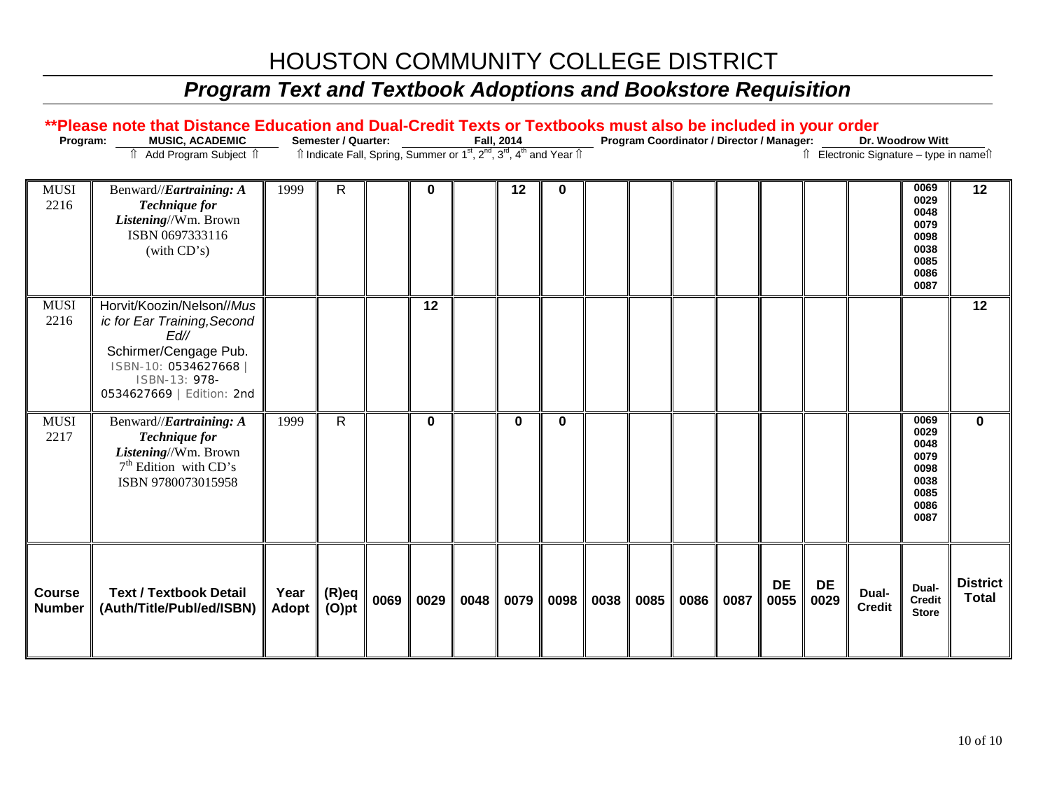| Program:                       | **Please note that Distance Education and Dual-Credit Texts or Textbooks must also be included in your order<br>MUSIC, ACADEMIC                                |                      | Semester / Quarter:                                                                                                   |      |          |      | Fall, 2014 |          |      | Program Coordinator / Director / Manager: |      |      |                   |                   |                                          | Dr. Woodrow Witt                                                     |                                 |
|--------------------------------|----------------------------------------------------------------------------------------------------------------------------------------------------------------|----------------------|-----------------------------------------------------------------------------------------------------------------------|------|----------|------|------------|----------|------|-------------------------------------------|------|------|-------------------|-------------------|------------------------------------------|----------------------------------------------------------------------|---------------------------------|
|                                | Add Program Subject 1                                                                                                                                          |                      | Îl Indicate Fall, Spring, Summer or 1 <sup>st</sup> , 2 <sup>nd</sup> , 3 <sup>rd</sup> , 4 <sup>th</sup> and Year Îl |      |          |      |            |          |      |                                           |      |      |                   |                   | Îl Electronic Signature - type in nameîl |                                                                      |                                 |
| <b>MUSI</b><br>2216            | Benward//Eartraining: A<br><b>Technique</b> for<br>Listening//Wm. Brown<br>ISBN 0697333116<br>(with CD's)                                                      | 1999                 | $\mathsf{R}$                                                                                                          |      | 0        |      | 12         | 0        |      |                                           |      |      |                   |                   |                                          | 0069<br>0029<br>0048<br>0079<br>0098<br>0038<br>0085<br>0086<br>0087 | 12                              |
| <b>MUSI</b><br>2216            | Horvit/Koozin/Nelson//Mus<br>ic for Ear Training, Second<br>Ed//<br>Schirmer/Cengage Pub.<br>ISBN-10: 0534627668<br>ISBN-13: 978-<br>0534627669   Edition: 2nd |                      |                                                                                                                       |      | 12       |      |            |          |      |                                           |      |      |                   |                   |                                          |                                                                      | 12                              |
| <b>MUSI</b><br>2217            | Benward//Eartraining: A<br><b>Technique for</b><br>Listening//Wm. Brown<br>$7th$ Edition with CD's<br>ISBN 9780073015958                                       | 1999                 | $\mathsf{R}$                                                                                                          |      | $\bf{0}$ |      | $\bf{0}$   | $\bf{0}$ |      |                                           |      |      |                   |                   |                                          | 0069<br>0029<br>0048<br>0079<br>0098<br>0038<br>0085<br>0086<br>0087 | $\bf{0}$                        |
| <b>Course</b><br><b>Number</b> | <b>Text / Textbook Detail</b><br>(Auth/Title/Publ/ed/ISBN)                                                                                                     | Year<br><b>Adopt</b> | (R)eq<br>$(O)$ pt                                                                                                     | 0069 | 0029     | 0048 | 0079       | 0098     | 0038 | 0085                                      | 0086 | 0087 | <b>DE</b><br>0055 | <b>DE</b><br>0029 | Dual-<br><b>Credit</b>                   | Dual-<br><b>Credit</b><br><b>Store</b>                               | <b>District</b><br><b>Total</b> |